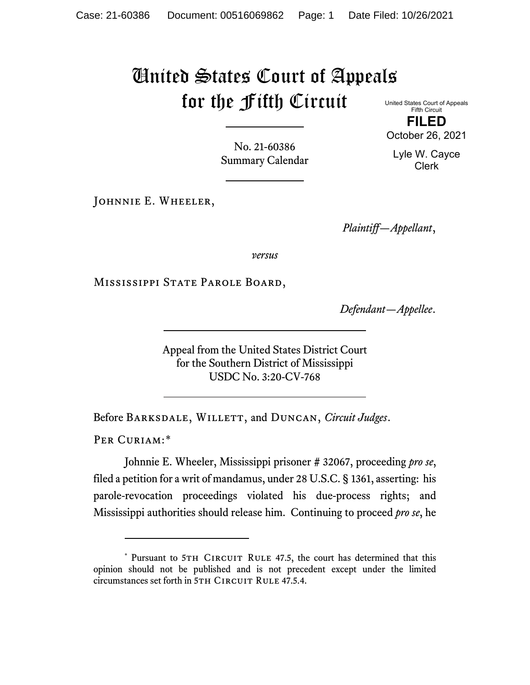## United States Court of Appeals for the Fifth Circuit United States Court of Appeals

Fifth Circuit **FILED**

October 26, 2021

Lyle W. Cayce Clerk

No. 21-60386 Summary Calendar

JOHNNIE E. WHEELER,

*Plaintiff—Appellant*,

*versus*

Mississippi State Parole Board,

*Defendant—Appellee*.

Appeal from the United States District Court for the Southern District of Mississippi USDC No. 3:20-CV-768

Before BARKSDALE, WILLETT, and DUNCAN, *Circuit Judges*.

PER CURIAM:[\\*](#page-0-0)

Johnnie E. Wheeler, Mississippi prisoner # 32067, proceeding *pro se*, filed a petition for a writ of mandamus, under 28 U.S.C. § 1361, asserting: his parole-revocation proceedings violated his due-process rights; and Mississippi authorities should release him. Continuing to proceed *pro se*, he

<span id="page-0-0"></span><sup>\*</sup> Pursuant to 5TH CIRCUIT RULE 47.5, the court has determined that this opinion should not be published and is not precedent except under the limited circumstances set forth in 5TH CIRCUIT RULE 47.5.4.